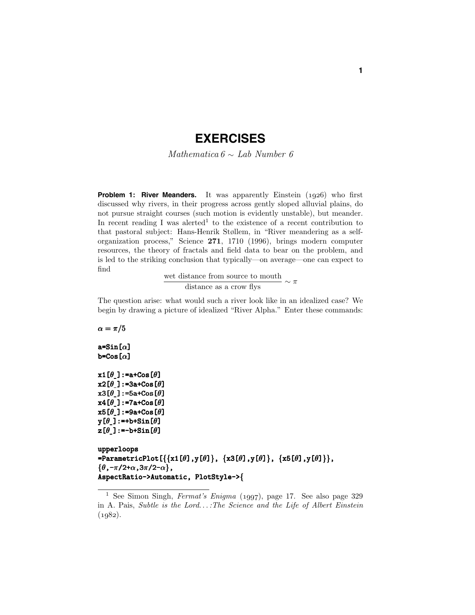# **EXERCISES**

Mathematica  $6 \sim$  Lab Number 6

**Problem 1: River Meanders.** It was apparently Einstein (*1926*) who first discussed why rivers, in their progress across gently sloped alluvial plains, do not pursue straight courses (such motion is evidently unstable), but meander. In recent reading I was alerted<sup>1</sup> to the existence of a recent contribution to that pastoral subject: Hans-Henrik Støllem, in "River meandering as a selforganization process," Science **271**, 1710 (1996), brings modern computer resources, the theory of fractals and field data to bear on the problem, and is led to the striking conclusion that typically—on average—one can expect to find

wet distance from source to mouth<br>distance as a crow flys

The question arise: what would such a river look like in an idealized case? We begin by drawing a picture of idealized "River Alpha." Enter these commands:

 $\alpha = \pi/5$ a=Sin[*α*] b=Cos[*α*]

```
x1[\theta]:=a+Cos[\theta]
x2[θ ]:=3a+Cos[ θ]
x3[θ ]:=5a+Cos[ θ]
x4[\theta_:=7a+Cos[\theta]
x5[θ ]:=9a+Cos[ θ]
y[<i>θ</i>]:=+b+Sin[]
z[\theta]:=-b+Sin[\theta]
```

```
upperloops upperloops
=ParametricPlot[  {{x1[θ],y[θ]}, {x3[θ],y[θ]}, {x5[θ],y[θ]}},
{θ,-π/2+α,3π/2-α},
AspectRatio->Automatic, PlotStyle->{
```
<sup>1</sup> See Simon Singh, Fermat's Enigma (*1997*), page 17. See also page 329 in A. Pais, Subtle is the Lord*...* :The Science and the Life of Albert Einstein (*1982*).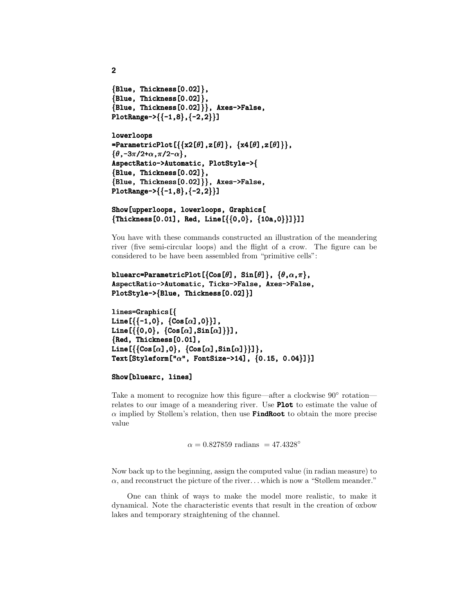```
{Blue, Thickness[0.02]},{Blue, Thickness[0.02]},{Blue, Thickness[0.02] }, Axes->False,
PlotRange->{{-1,8}, {-2,2}}]
```
**2**

```
lowerloops lowerloops
=ParametricPlot[ =ParametricPlot[ {{x2[θ],z[θ]}, {x4[θ],z[θ]}},
{θ,-3π/2+α,π/2-α},
AspectRatio->Automatic, PlotStyle->{
{Blue, Thickness[0.02]},{Blue, Thickness[0.02] }, Axes->False,
PlotRange->{{-1,8}, {-2,2}}]
```

```
Show[upperloops, lowerloops, Graphics[ 
{\{Thickness[0.01], Red, Line[\{\{0,0\}, \{10a,0\}\}]\}}
```
You have with these commands constructed an illustration of the meandering river (five semi-circular loops) and the flight of a crow. The figure can be considered to be have been assembled from "primitive cells":

```
bluearc=ParametricPlot[ bluearc=ParametricPlot[bluearc=ParametricPlot[{Cos[θ], Sin[ ], Sin[], θ]}, {θ,α,π},
AspectRatio->Automatic, Ticks->False, Axes->False, 
PlotStyle->{Blue, Thickness[0.02]}]
```

```
lines=Graphics[{
Line[{\{-1,0\}, \{Cos[\alpha],0\}],
Line[{{0,0}, {Cos[\alpha],Sin[\alpha]}}],
{Red, Thickness[0.01], Red, Thickness[0.01],
Line[{\{ \text{Cos}[\alpha], 0 \}, \{ \text{Cos}[\alpha], \text{Sin}[\alpha] \}}],
Text[Styleform["α", FontSize->14], {0.15, 0.04}]}]
```
#### Show[bluearc, lines]

Take a moment to recognize how this figure—after a clockwise 90◦ rotation relates to our image of a meandering river. Use **Plot** to estimate the value of  $\alpha$  implied by Støllem's relation, then use **FindRoot** to obtain the more precise value

 $\alpha = 0.827859$  radians = 47.4328<sup>°</sup>

Now back up to the beginning, assign the computed value (in radian measure) to *α*, and reconstruct the picture of the river*...* which is now a "Støllem meander."

One can think of ways to make the model more realistic, to make it dynamical. Note the characteristic events that result in the creation of oxbow lakes and temporary straightening of the channel.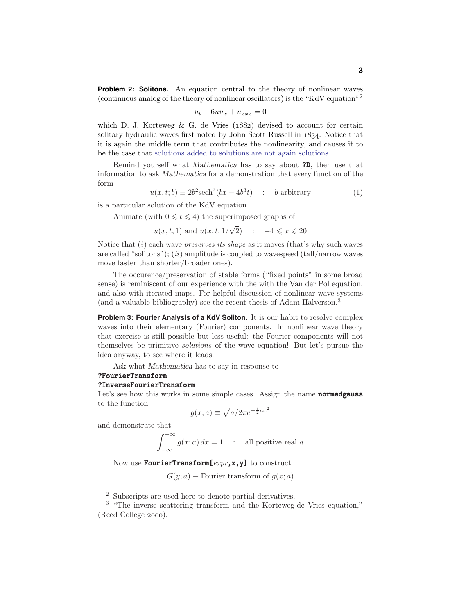**Problem 2: Solitons.** An equation central to the theory of nonlinear waves (continuous analog of the theory of nonlinear oscillators) is the "KdV equation"<sup>2</sup>

$$
u_t + 6uu_x + u_{xxx} = 0
$$

which D. J. Korteweg & G. de Vries (*1882*) devised to account for certain solitary hydraulic waves first noted by John Scott Russell in *1834*. Notice that it is again the middle term that contributes the nonlinearity, and causes it to be the case that solutions added to solutions are not again solutions.

Remind yourself what *Mathematica* has to say about ?D, then use that information to ask *Mathematica* for a demonstration that every function of the form

$$
u(x,t;b) \equiv 2b^2 \text{sech}^2(bx - 4b^3t) : b \text{ arbitrary}
$$
 (1)

is a particular solution of the KdV equation.

Animate (with  $0 \leq t \leq 4$ ) the superimposed graphs of

*u*(*x, t,* 1) and *u*(*x, t,* 1*/* √ 2) :  $-4 \leqslant x \leqslant 20$ 

Notice that  $(i)$  each wave *preserves its shape* as it moves (that's why such waves are called "solitons"); (ii) amplitude is coupled to wavespeed  $(tall/narrow)$  waves move faster than shorter/broader ones).

The occurence/preservation of stable forms ("fixed points" in some broad sense) is reminiscent of our experience with the with the Van der Pol equation, and also with iterated maps. For helpful discussion of nonlinear wave systems (and a valuable bibliography) see the recent thesis of Adam Halverson.<sup>3</sup>

**Problem 3: Fourier Analysis of a KdV Soliton.** It is our habit to resolve complex waves into their elementary (Fourier) components. In nonlinear wave theory that exercise is still possible but less useful: the Fourier components will not themselves be primitive solutions of the wave equation! But let's pursue the idea anyway, to see where it leads.

Ask what *Mathematica* has to say in response to

### ?FourierTransform

#### ?InverseFourierTransform

-

Let's see how this works in some simple cases. Assign the name **normedgauss** to the function

$$
g(x;a) \equiv \sqrt{a/2\pi}e^{-\frac{1}{2}ax^2}
$$

and demonstrate that

$$
\int_{-\infty}^{+\infty} g(x; a) dx = 1 \quad : \quad \text{all positive real } a
$$

Now use FourierTransform  $[expr, x, y]$  to construct

 $G(y; a) \equiv$  Fourier transform of  $g(x; a)$ 

<sup>2</sup> Subscripts are used here to denote partial derivatives.

<sup>3</sup> "The inverse scattering transform and the Korteweg-de Vries equation," (Reed College *2000*).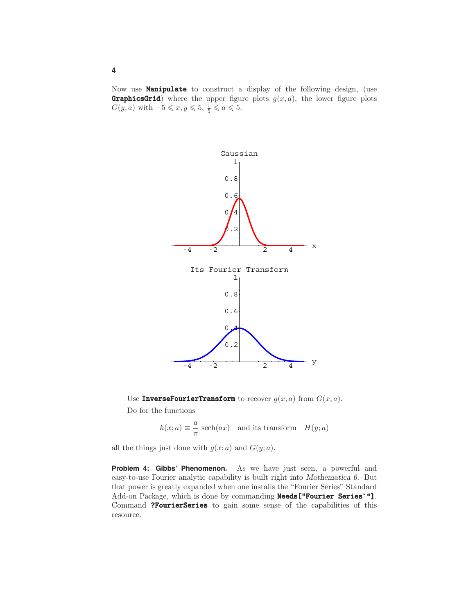Now use **Manipulate** to construct a display of the following design, (use **GraphicsGrid**) where the upper figure plots  $g(x, a)$ , the lower figure plots  $G(y, a)$  with  $-5 \leqslant x, y \leqslant 5, \frac{1}{5} \leqslant a \leqslant 5.$ 



Use **InverseFourierTransform** to recover  $g(x, a)$  from  $G(x, a)$ . Do for the functions

 $h(x; a) \equiv \frac{a}{\pi} \operatorname{sech}(ax)$  and its transform  $H(y; a)$ 

all the things just done with  $g(x; a)$  and  $G(y; a)$ .

**Problem 4: Gibbs' Phenomenon.** As we have just seen, a powerful and easy-to-use Fourier analytic capability is built right into *Mathematica 6*. But that power is greatly expanded when one installs the "Fourier Series" Standard Add-on Package, which is done by commanding Needs["Fourier Series'"]. Command ?FourierSeries to gain some sense of the capabilities of this resource.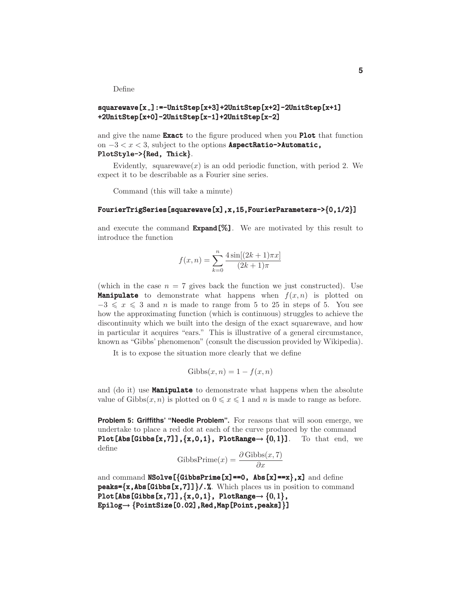Define

### squarewave[x ]:=-UnitStep[x+3]+2UnitStep[x+2]-2UnitStep[x+1] ]:=-UnitStep[x+3]+2UnitStep[x+2]-2UnitStep[x+1] +2UnitStep[x+0]-2UnitStep[x-1]+2UnitStep[x-2] +2UnitStep[x+0]-2UnitStep[x-1]+2UnitStep[x-2]

and give the name **Exact** to the figure produced when you **Plot** that function on −3 *<x<* 3, subject to the options AspectRatio->Automatic, PlotStyle->{Red, Thick}.

Evidently, squarewave $(x)$  is an odd periodic function, with period 2. We expect it to be describable as a Fourier sine series.

Command (this will take a minute)

#### FourierTrigSeries[squarewave[x],x,15,FourierParameters->{0,1/2}]

and execute the command  $\text{Expand}[\%]$ . We are motivated by this result to introduce the function

$$
f(x, n) = \sum_{k=0}^{n} \frac{4 \sin[(2k+1)\pi x]}{(2k+1)\pi}
$$

(which in the case  $n = 7$  gives back the function we just constructed). Use **Manipulate** to demonstrate what happens when  $f(x, n)$  is plotted on  $-3 \leq x \leq 3$  and *n* is made to range from 5 to 25 in steps of 5. You see how the approximating function (which is continuous) struggles to achieve the discontinuity which we built into the design of the exact squarewave, and how in particular it acquires "ears." This is illustrative of a general circumstance, known as "Gibbs' phenomenon" (consult the discussion provided by Wikipedia).

It is to expose the situation more clearly that we define

$$
Gibbs(x, n) = 1 - f(x, n)
$$

and (do it) use **Manipulate** to demonstrate what happens when the absolute value of  $\text{Gibbs}(x, n)$  is plotted on  $0 \leq x \leq 1$  and *n* is made to range as before.

**Problem 5: Griffiths' "Needle Problem".** For reasons that will soon emerge, we undertake to place a red dot at each of the curve produced by the command Plot[Abs[Gibbs[x,7]],  $\{x,0,1\}$ , PlotRange $\rightarrow \{0,1\}$ ]. To that end, we define

$$
GibbsPrime(x) = \frac{\partial Gibbs(x, 7)}{\partial x}
$$

and command  $NSolve$  [{GibbsPrime[x]==0, Abs[x]==x},x] and define  $peaks = {x, Abs[Gibbs[x,7]]}/.$  Which places us in position to command Plot[Abs[Gibbs[x,7]], $\{x,0,1\}$ , PlotRange  $\rightarrow \{0,1\}$ ,  $Epilog \rightarrow \{PointSize[0.02]$ , Red, Map[Point, peaks] }]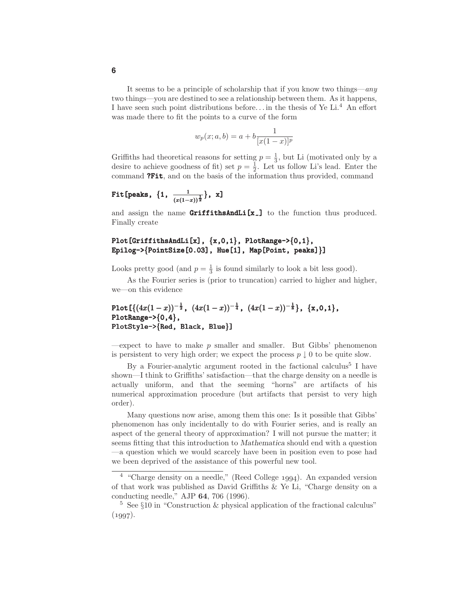It seems to be a principle of scholarship that if you know two things—any two things—you are destined to see a relationship between them. As it happens, I have seen such point distributions before... in the thesis of Ye Li.<sup>4</sup> An effort was made there to fit the points to a curve of the form

$$
w_p(x; a, b) = a + b \frac{1}{[x(1-x)]^p}
$$

Griffiths had theoretical reasons for setting  $p = \frac{1}{3}$ , but Li (motivated only by a desire to achieve goodness of fit) set  $p = \frac{1}{2}$ . Let us follow Li's lead. Enter the command **?Fit**, and on the basis of the information thus provided, command

Fit[peaks, {1, 
$$
\frac{1}{(x(1-x))^{\frac{1}{2}}}
$$
}, x]

and assign the name  $GriffithsAndLi[x_+]$  to the function thus produced. Finally create

## Plot[GriffithsAndLi[x],  $\{x,0,1\}$ , PlotRange-> $\{0,1\}$ , Epilog->{PointSize[0.03], Hue[1], Map[Point, peaks]}]

Looks pretty good (and  $p = \frac{1}{3}$  is found similarly to look a bit less good).

As the Fourier series is (prior to truncation) carried to higher and higher, we—on this evidence

# Plot  $\left[ \left\{ \left( 4x(1-x) \right)^{-\frac{1}{2}}, \ \left( 4x(1-x) \right)^{-\frac{1}{4}}, \ \left( 4x(1-x) \right)^{-\frac{1}{8}} \right\}, \ \left\{ x,0,1 \right\},\$ PlotRange-> $\{0,4\}$ , PlotStyle->{Red, Black, Blue}]

—expect to have to make  $p$  smaller and smaller. But Gibbs' phenomenon is persistent to very high order; we expect the process  $p \downarrow 0$  to be quite slow.

By a Fourier-analytic argument rooted in the factional calculus<sup>5</sup> I have shown—I think to Griffiths' satisfaction—that the charge density on a needle is actually uniform, and that the seeming "horns" are artifacts of his numerical approximation procedure (but artifacts that persist to very high order).

Many questions now arise, among them this one: Is it possible that Gibbs' phenomenon has only incidentally to do with Fourier series, and is really an aspect of the general theory of approximation? I will not pursue the matter; it seems fitting that this introduction to *Mathematica* should end with a question —a question which we would scarcely have been in position even to pose had we been deprived of the assistance of this powerful new tool.

<sup>4</sup> "Charge density on a needle," (Reed College *1994*). An expanded version of that work was published as David Griffiths & Ye Li, "Charge density on a conducting needle," AJP **64**, 706 (1996).

<sup>5</sup> See §10 in "Construction & physical application of the fractional calculus" (*1997*).